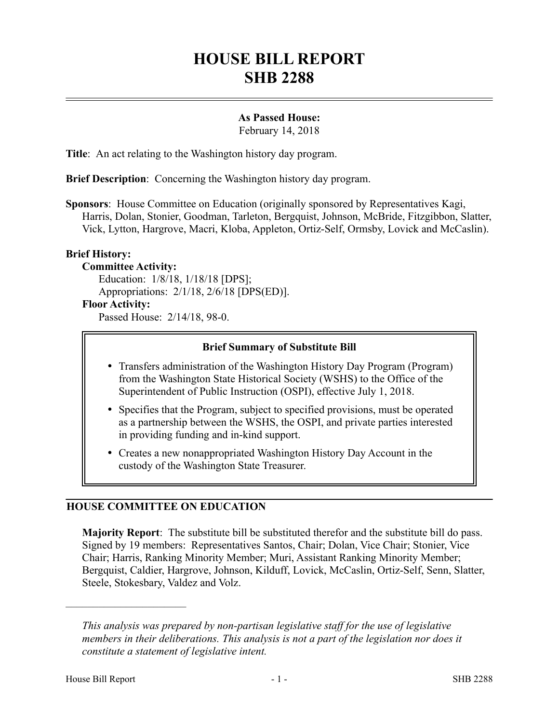# **HOUSE BILL REPORT SHB 2288**

# **As Passed House:**

February 14, 2018

**Title**: An act relating to the Washington history day program.

**Brief Description**: Concerning the Washington history day program.

**Sponsors**: House Committee on Education (originally sponsored by Representatives Kagi, Harris, Dolan, Stonier, Goodman, Tarleton, Bergquist, Johnson, McBride, Fitzgibbon, Slatter, Vick, Lytton, Hargrove, Macri, Kloba, Appleton, Ortiz-Self, Ormsby, Lovick and McCaslin).

## **Brief History:**

# **Committee Activity:**

Education: 1/8/18, 1/18/18 [DPS]; Appropriations: 2/1/18, 2/6/18 [DPS(ED)].

## **Floor Activity:**

Passed House: 2/14/18, 98-0.

#### **Brief Summary of Substitute Bill**

- Transfers administration of the Washington History Day Program (Program) from the Washington State Historical Society (WSHS) to the Office of the Superintendent of Public Instruction (OSPI), effective July 1, 2018.
- Specifies that the Program, subject to specified provisions, must be operated as a partnership between the WSHS, the OSPI, and private parties interested in providing funding and in-kind support.
- Creates a new nonappropriated Washington History Day Account in the custody of the Washington State Treasurer.

#### **HOUSE COMMITTEE ON EDUCATION**

**Majority Report**: The substitute bill be substituted therefor and the substitute bill do pass. Signed by 19 members: Representatives Santos, Chair; Dolan, Vice Chair; Stonier, Vice Chair; Harris, Ranking Minority Member; Muri, Assistant Ranking Minority Member; Bergquist, Caldier, Hargrove, Johnson, Kilduff, Lovick, McCaslin, Ortiz-Self, Senn, Slatter, Steele, Stokesbary, Valdez and Volz.

––––––––––––––––––––––

*This analysis was prepared by non-partisan legislative staff for the use of legislative members in their deliberations. This analysis is not a part of the legislation nor does it constitute a statement of legislative intent.*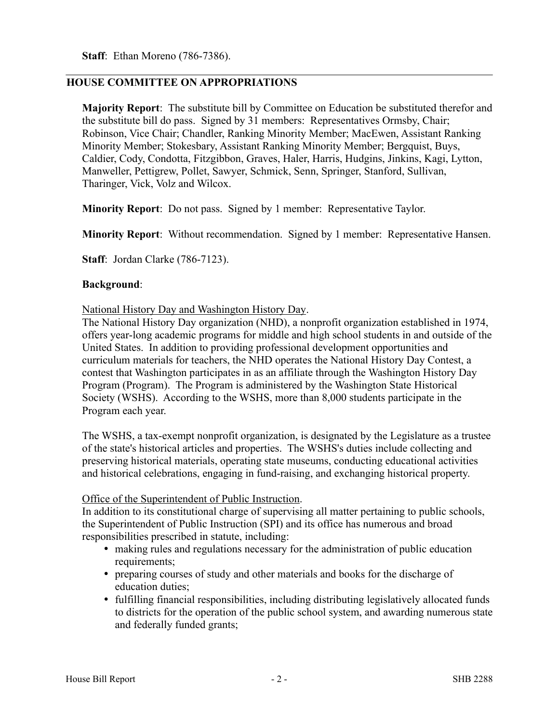**Staff**: Ethan Moreno (786-7386).

### **HOUSE COMMITTEE ON APPROPRIATIONS**

**Majority Report**: The substitute bill by Committee on Education be substituted therefor and the substitute bill do pass. Signed by 31 members: Representatives Ormsby, Chair; Robinson, Vice Chair; Chandler, Ranking Minority Member; MacEwen, Assistant Ranking Minority Member; Stokesbary, Assistant Ranking Minority Member; Bergquist, Buys, Caldier, Cody, Condotta, Fitzgibbon, Graves, Haler, Harris, Hudgins, Jinkins, Kagi, Lytton, Manweller, Pettigrew, Pollet, Sawyer, Schmick, Senn, Springer, Stanford, Sullivan, Tharinger, Vick, Volz and Wilcox.

**Minority Report**: Do not pass. Signed by 1 member: Representative Taylor.

**Minority Report**: Without recommendation. Signed by 1 member: Representative Hansen.

**Staff**: Jordan Clarke (786-7123).

## **Background**:

National History Day and Washington History Day.

The National History Day organization (NHD), a nonprofit organization established in 1974, offers year-long academic programs for middle and high school students in and outside of the United States. In addition to providing professional development opportunities and curriculum materials for teachers, the NHD operates the National History Day Contest, a contest that Washington participates in as an affiliate through the Washington History Day Program (Program). The Program is administered by the Washington State Historical Society (WSHS). According to the WSHS, more than 8,000 students participate in the Program each year.

The WSHS, a tax-exempt nonprofit organization, is designated by the Legislature as a trustee of the state's historical articles and properties. The WSHS's duties include collecting and preserving historical materials, operating state museums, conducting educational activities and historical celebrations, engaging in fund-raising, and exchanging historical property.

# Office of the Superintendent of Public Instruction.

In addition to its constitutional charge of supervising all matter pertaining to public schools, the Superintendent of Public Instruction (SPI) and its office has numerous and broad responsibilities prescribed in statute, including:

- making rules and regulations necessary for the administration of public education requirements;
- preparing courses of study and other materials and books for the discharge of education duties;
- fulfilling financial responsibilities, including distributing legislatively allocated funds to districts for the operation of the public school system, and awarding numerous state and federally funded grants;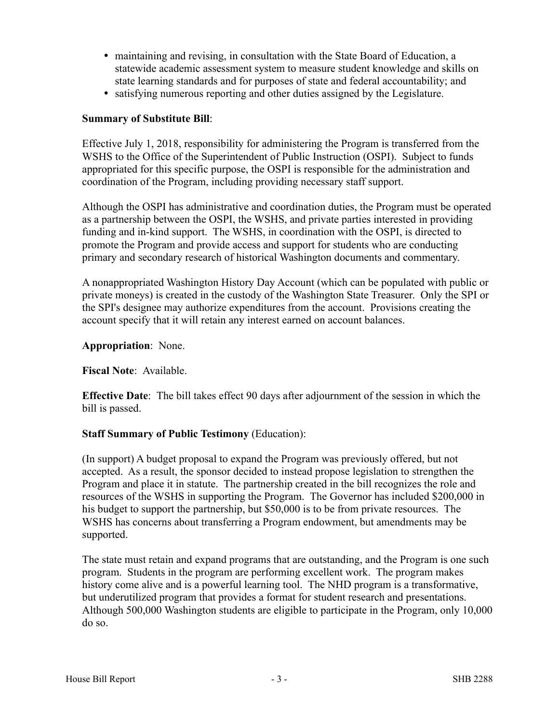- maintaining and revising, in consultation with the State Board of Education, a statewide academic assessment system to measure student knowledge and skills on state learning standards and for purposes of state and federal accountability; and
- satisfying numerous reporting and other duties assigned by the Legislature.

# **Summary of Substitute Bill**:

Effective July 1, 2018, responsibility for administering the Program is transferred from the WSHS to the Office of the Superintendent of Public Instruction (OSPI). Subject to funds appropriated for this specific purpose, the OSPI is responsible for the administration and coordination of the Program, including providing necessary staff support.

Although the OSPI has administrative and coordination duties, the Program must be operated as a partnership between the OSPI, the WSHS, and private parties interested in providing funding and in-kind support. The WSHS, in coordination with the OSPI, is directed to promote the Program and provide access and support for students who are conducting primary and secondary research of historical Washington documents and commentary.

A nonappropriated Washington History Day Account (which can be populated with public or private moneys) is created in the custody of the Washington State Treasurer. Only the SPI or the SPI's designee may authorize expenditures from the account. Provisions creating the account specify that it will retain any interest earned on account balances.

**Appropriation**: None.

#### **Fiscal Note**: Available.

**Effective Date**: The bill takes effect 90 days after adjournment of the session in which the bill is passed.

#### **Staff Summary of Public Testimony** (Education):

(In support) A budget proposal to expand the Program was previously offered, but not accepted. As a result, the sponsor decided to instead propose legislation to strengthen the Program and place it in statute. The partnership created in the bill recognizes the role and resources of the WSHS in supporting the Program. The Governor has included \$200,000 in his budget to support the partnership, but \$50,000 is to be from private resources. The WSHS has concerns about transferring a Program endowment, but amendments may be supported.

The state must retain and expand programs that are outstanding, and the Program is one such program. Students in the program are performing excellent work. The program makes history come alive and is a powerful learning tool. The NHD program is a transformative, but underutilized program that provides a format for student research and presentations. Although 500,000 Washington students are eligible to participate in the Program, only 10,000 do so.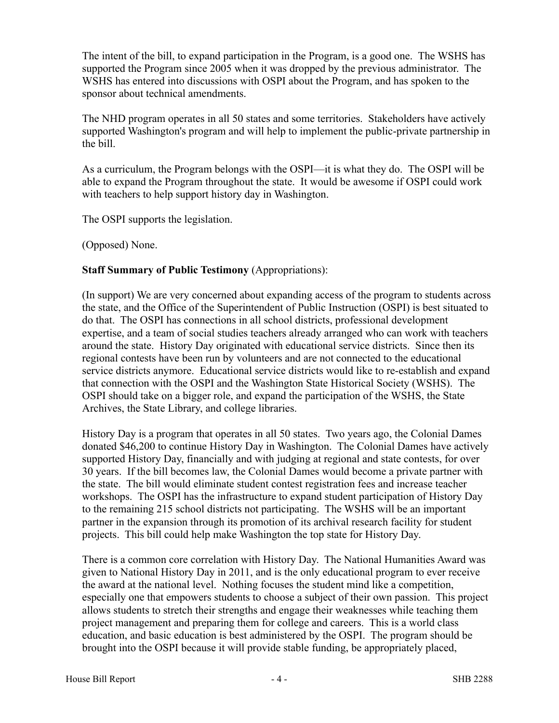The intent of the bill, to expand participation in the Program, is a good one. The WSHS has supported the Program since 2005 when it was dropped by the previous administrator. The WSHS has entered into discussions with OSPI about the Program, and has spoken to the sponsor about technical amendments.

The NHD program operates in all 50 states and some territories. Stakeholders have actively supported Washington's program and will help to implement the public-private partnership in the bill.

As a curriculum, the Program belongs with the OSPI—it is what they do. The OSPI will be able to expand the Program throughout the state. It would be awesome if OSPI could work with teachers to help support history day in Washington.

The OSPI supports the legislation.

(Opposed) None.

# **Staff Summary of Public Testimony** (Appropriations):

(In support) We are very concerned about expanding access of the program to students across the state, and the Office of the Superintendent of Public Instruction (OSPI) is best situated to do that. The OSPI has connections in all school districts, professional development expertise, and a team of social studies teachers already arranged who can work with teachers around the state. History Day originated with educational service districts. Since then its regional contests have been run by volunteers and are not connected to the educational service districts anymore. Educational service districts would like to re-establish and expand that connection with the OSPI and the Washington State Historical Society (WSHS). The OSPI should take on a bigger role, and expand the participation of the WSHS, the State Archives, the State Library, and college libraries.

History Day is a program that operates in all 50 states. Two years ago, the Colonial Dames donated \$46,200 to continue History Day in Washington. The Colonial Dames have actively supported History Day, financially and with judging at regional and state contests, for over 30 years. If the bill becomes law, the Colonial Dames would become a private partner with the state. The bill would eliminate student contest registration fees and increase teacher workshops. The OSPI has the infrastructure to expand student participation of History Day to the remaining 215 school districts not participating. The WSHS will be an important partner in the expansion through its promotion of its archival research facility for student projects. This bill could help make Washington the top state for History Day.

There is a common core correlation with History Day. The National Humanities Award was given to National History Day in 2011, and is the only educational program to ever receive the award at the national level. Nothing focuses the student mind like a competition, especially one that empowers students to choose a subject of their own passion. This project allows students to stretch their strengths and engage their weaknesses while teaching them project management and preparing them for college and careers. This is a world class education, and basic education is best administered by the OSPI. The program should be brought into the OSPI because it will provide stable funding, be appropriately placed,